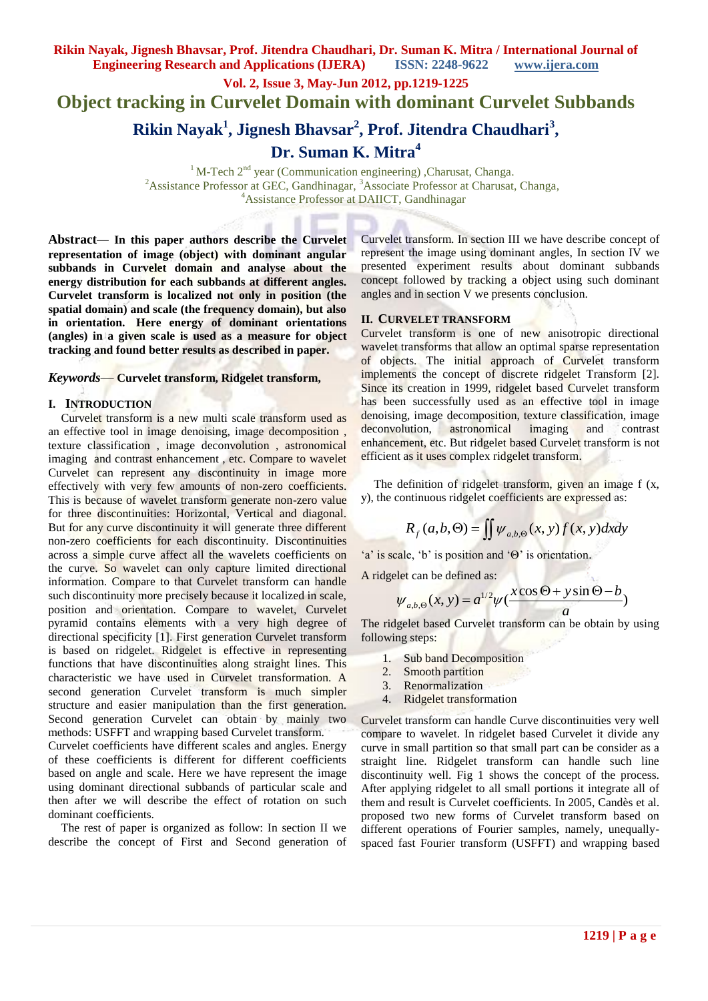**Vol. 2, Issue 3, May-Jun 2012, pp.1219-1225**

**Object tracking in Curvelet Domain with dominant Curvelet Subbands**

**Rikin Nayak<sup>1</sup> , Jignesh Bhavsar<sup>2</sup> , Prof. Jitendra Chaudhari<sup>3</sup> ,** 

**Dr. Suman K. Mitra<sup>4</sup>**

 $1$ M-Tech  $2<sup>nd</sup>$  year (Communication engineering) ,Charusat, Changa. <sup>2</sup> Assistance Professor at GEC, Gandhinagar, <sup>3</sup> Associate Professor at Charusat, Changa, <sup>4</sup>Assistance Professor at DAIICT, Gandhinagar

**Abstract***—* **In this paper authors describe the Curvelet representation of image (object) with dominant angular subbands in Curvelet domain and analyse about the energy distribution for each subbands at different angles. Curvelet transform is localized not only in position (the spatial domain) and scale (the frequency domain), but also in orientation. Here energy of dominant orientations (angles) in a given scale is used as a measure for object tracking and found better results as described in paper.**

### *Keywords*— **Curvelet transform, Ridgelet transform,**

## **I. INTRODUCTION**

Curvelet transform is a new multi scale transform used as an effective tool in image denoising, image decomposition , texture classification , image deconvolution , astronomical imaging and contrast enhancement , etc. Compare to wavelet Curvelet can represent any discontinuity in image more effectively with very few amounts of non-zero coefficients. This is because of wavelet transform generate non-zero value for three discontinuities: Horizontal, Vertical and diagonal. But for any curve discontinuity it will generate three different non-zero coefficients for each discontinuity. Discontinuities across a simple curve affect all the wavelets coefficients on the curve. So wavelet can only capture limited directional information. Compare to that Curvelet transform can handle such discontinuity more precisely because it localized in scale, position and orientation. Compare to wavelet, Curvelet pyramid contains elements with a very high degree of directional specificity [1]. First generation Curvelet transform is based on ridgelet. Ridgelet is effective in representing functions that have discontinuities along straight lines. This characteristic we have used in Curvelet transformation. A second generation Curvelet transform is much simpler structure and easier manipulation than the first generation. Second generation Curvelet can obtain by mainly two methods: USFFT and wrapping based Curvelet transform.

Curvelet coefficients have different scales and angles. Energy of these coefficients is different for different coefficients based on angle and scale. Here we have represent the image using dominant directional subbands of particular scale and then after we will describe the effect of rotation on such dominant coefficients.

The rest of paper is organized as follow: In section II we describe the concept of First and Second generation of Curvelet transform. In section III we have describe concept of represent the image using dominant angles, In section IV we presented experiment results about dominant subbands concept followed by tracking a object using such dominant angles and in section V we presents conclusion.

## **II. CURVELET TRANSFORM**

Curvelet transform is one of new anisotropic directional wavelet transforms that allow an optimal sparse representation of objects. The initial approach of Curvelet transform implements the concept of discrete ridgelet Transform [2]. Since its creation in 1999, ridgelet based Curvelet transform has been successfully used as an effective tool in image denoising, image decomposition, texture classification, image deconvolution, astronomical imaging and contrast enhancement, etc. But ridgelet based Curvelet transform is not efficient as it uses complex ridgelet transform.

The definition of ridgelet transform, given an image f (x, y), the continuous ridgelet coefficients are expressed as:

$$
R_f(a,b,\Theta) = \iint \psi_{a,b,\Theta}(x,y)f(x,y)dxdy
$$

'a' is scale, 'b' is position and ' $\Theta$ ' is orientation.

A ridgelet can be defined as:

$$
\psi_{a,b,\Theta}(x,y) = a^{1/2} \psi(\frac{x \cos \Theta + y \sin \Theta - b}{a})
$$

The ridgelet based Curvelet transform can be obtain by using following steps:

- 1. Sub band Decomposition
- 2. Smooth partition
- 3. Renormalization
- 4. Ridgelet transformation

Curvelet transform can handle Curve discontinuities very well compare to wavelet. In ridgelet based Curvelet it divide any curve in small partition so that small part can be consider as a straight line. Ridgelet transform can handle such line discontinuity well. Fig 1 shows the concept of the process. After applying ridgelet to all small portions it integrate all of them and result is Curvelet coefficients. In 2005, Candès et al. proposed two new forms of Curvelet transform based on different operations of Fourier samples, namely, unequallyspaced fast Fourier transform (USFFT) and wrapping based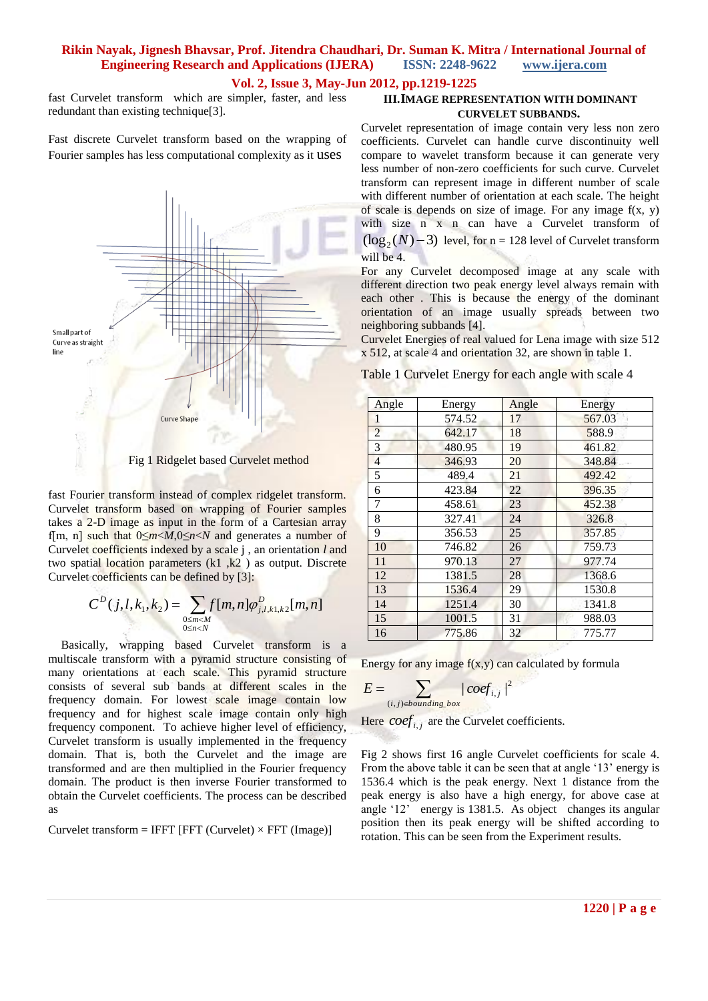## **Vol. 2, Issue 3, May-Jun 2012, pp.1219-1225**

fast Curvelet transform which are simpler, faster, and less redundant than existing technique[3].

Fast discrete Curvelet transform based on the wrapping of Fourier samples has less computational complexity as it uses



fast Fourier transform instead of complex ridgelet transform. Curvelet transform based on wrapping of Fourier samples takes a 2-D image as input in the form of a Cartesian array f[m, n] such that 0≤*m*<*M*,0≤*n*<*N* and generates a number of Curvelet coefficients indexed by a scale j , an orientation *l* and two spatial location parameters (k1 ,k2 ) as output. Discrete Curvelet coefficients can be defined by [3]:

$$
C^{D}(j, l, k_1, k_2) = \sum_{\substack{0 \le m < M \\ 0 \le n < N}} f[m, n] \varphi_{j, l, k_1, k_2}^{D}[m, n]
$$

Basically, wrapping based Curvelet transform is a multiscale transform with a pyramid structure consisting of many orientations at each scale. This pyramid structure consists of several sub bands at different scales in the frequency domain. For lowest scale image contain low frequency and for highest scale image contain only high frequency component. To achieve higher level of efficiency, Curvelet transform is usually implemented in the frequency domain. That is, both the Curvelet and the image are transformed and are then multiplied in the Fourier frequency domain. The product is then inverse Fourier transformed to obtain the Curvelet coefficients. The process can be described as

$$
Curvelet transform = IFFT [FFT (Curvelet) \times FFT (Image)]
$$

## **III.IMAGE REPRESENTATION WITH DOMINANT CURVELET SUBBANDS.**

Curvelet representation of image contain very less non zero coefficients. Curvelet can handle curve discontinuity well compare to wavelet transform because it can generate very less number of non-zero coefficients for such curve. Curvelet transform can represent image in different number of scale with different number of orientation at each scale. The height of scale is depends on size of image. For any image  $f(x, y)$ with size n x n can have a Curvelet transform of  $(\log_2(N) - 3)$  level, for n = 128 level of Curvelet transform will be 4.

For any Curvelet decomposed image at any scale with different direction two peak energy level always remain with each other . This is because the energy of the dominant orientation of an image usually spreads between two neighboring subbands [4].

Curvelet Energies of real valued for Lena image with size 512 x 512, at scale 4 and orientation 32, are shown in table 1.

Table 1 Curvelet Energy for each angle with scale 4

| Angle          | Energy | Angle | Energy |
|----------------|--------|-------|--------|
| 1              | 574.52 | 17    | 567.03 |
| $\overline{2}$ | 642.17 | 18    | 588.9  |
| 3              | 480.95 | 19    | 461.82 |
| 4              | 346.93 | 20    | 348.84 |
| 5              | 489.4  | 21    | 492.42 |
| 6              | 423.84 | 22    | 396.35 |
| 7              | 458.61 | 23    | 452.38 |
| 8              | 327.41 | 24    | 326.8  |
| 9              | 356.53 | 25    | 357.85 |
| 10             | 746.82 | 26    | 759.73 |
| 11             | 970.13 | 27    | 977.74 |
| 12             | 1381.5 | 28    | 1368.6 |
| 13             | 1536.4 | 29    | 1530.8 |
| 14             | 1251.4 | 30    | 1341.8 |
| 15             | 1001.5 | 31    | 988.03 |
| 16             | 775.86 | 32    | 775.77 |

Energy for any image  $f(x,y)$  can calculated by formula

$$
E = \sum_{(i,j)\in bounding\ box} |\,coeff_{i,j}\,|^2
$$

Here  $\text{coeff}_{i,j}$  are the Curvelet coefficients.

Fig 2 shows first 16 angle Curvelet coefficients for scale 4. From the above table it can be seen that at angle '13' energy is 1536.4 which is the peak energy. Next 1 distance from the peak energy is also have a high energy, for above case at angle '12' energy is 1381.5. As object changes its angular position then its peak energy will be shifted according to rotation. This can be seen from the Experiment results.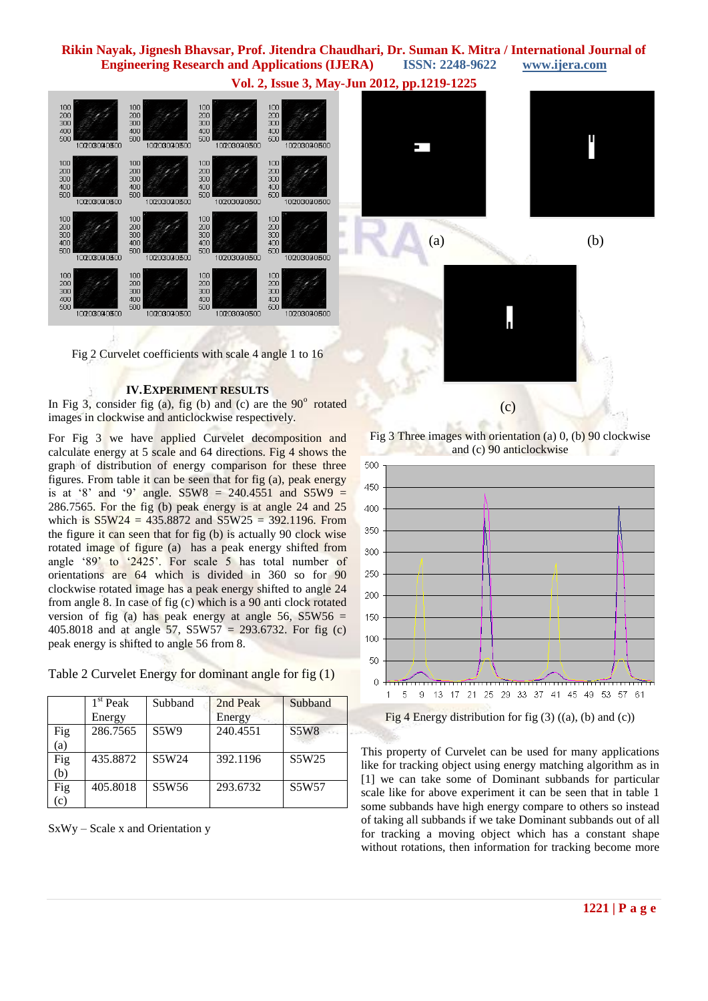**Vol. 2, Issue 3, May-Jun 2012, pp.1219-1225**



Fig 2 Curvelet coefficients with scale 4 angle 1 to 16

#### **IV.EXPERIMENT RESULTS**

In Fig 3, consider fig (a), fig (b) and (c) are the  $90^\circ$  rotated images in clockwise and anticlockwise respectively.

For Fig 3 we have applied Curvelet decomposition and calculate energy at 5 scale and 64 directions. Fig 4 shows the graph of distribution of energy comparison for these three figures. From table it can be seen that for fig (a), peak energy is at '8' and '9' angle. S5W8 =  $240.4551$  and S5W9 = 286.7565. For the fig (b) peak energy is at angle 24 and 25 which is  $S5W24 = 435.8872$  and  $S5W25 = 392.1196$ . From the figure it can seen that for fig (b) is actually 90 clock wise rotated image of figure (a) has a peak energy shifted from angle '89' to  $2425'$ . For scale 5 has total number of orientations are 64 which is divided in 360 so for 90 clockwise rotated image has a peak energy shifted to angle 24 from angle 8. In case of fig (c) which is a 90 anti clock rotated version of fig (a) has peak energy at angle  $56$ ,  $S5W56 =$ 405.8018 and at angle 57, S5W57 = 293.6732. For fig (c) peak energy is shifted to angle 56 from 8.

| Table 2 Curvelet Energy for dominant angle for fig (1) |  |  |  |  |
|--------------------------------------------------------|--|--|--|--|
|                                                        |  |  |  |  |

|                 | $1st$ Peak<br>Energy | Subband | 2nd Peak<br>Energy | Subband     |
|-----------------|----------------------|---------|--------------------|-------------|
| Fig<br>(a)      | 286.7565             | S5W9    | 240.4551           | <b>S5W8</b> |
| Fig<br>(b)      | 435.8872             | S5W24   | 392.1196           | S5W25       |
| Fig<br>$\rm(c)$ | 405.8018             | S5W56   | 293.6732           | S5W57       |

SxWy – Scale x and Orientation y







Fig 3 Three images with orientation (a) 0, (b) 90 clockwise and (c) 90 anticlockwise



This property of Curvelet can be used for many applications like for tracking object using energy matching algorithm as in

[1] we can take some of Dominant subbands for particular scale like for above experiment it can be seen that in table 1 some subbands have high energy compare to others so instead of taking all subbands if we take Dominant subbands out of all for tracking a moving object which has a constant shape without rotations, then information for tracking become more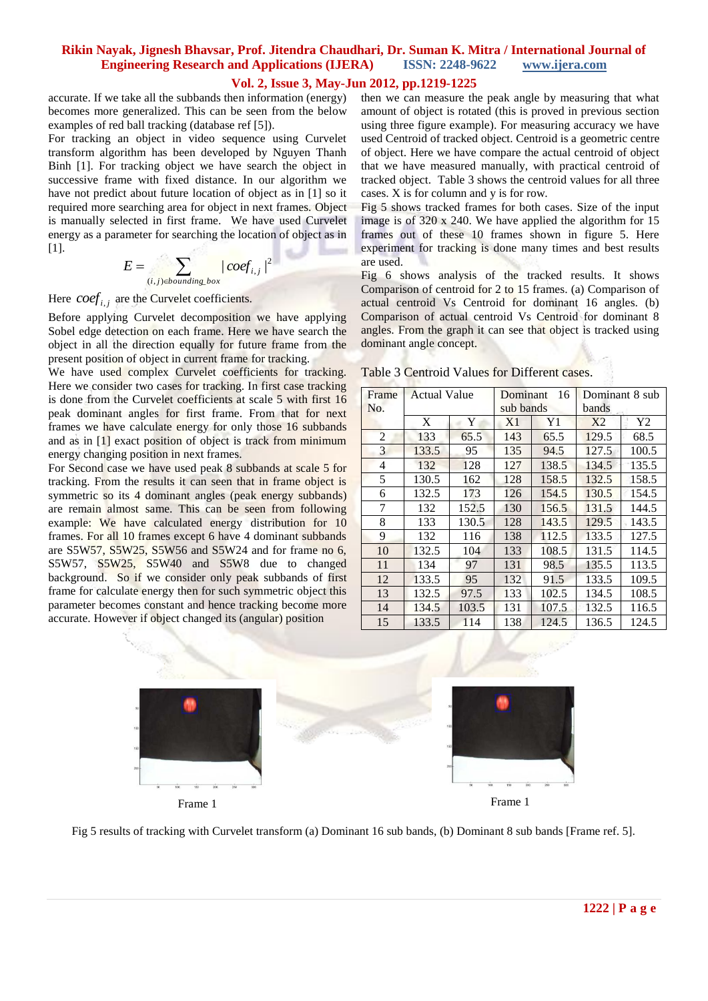## **Vol. 2, Issue 3, May-Jun 2012, pp.1219-1225**

accurate. If we take all the subbands then information (energy) becomes more generalized. This can be seen from the below examples of red ball tracking (database ref [5]).

For tracking an object in video sequence using Curvelet transform algorithm has been developed by Nguyen Thanh Binh [1]. For tracking object we have search the object in successive frame with fixed distance. In our algorithm we have not predict about future location of object as in [1] so it required more searching area for object in next frames. Object is manually selected in first frame. We have used Curvelet energy as a parameter for searching the location of object as in [1].

$$
E = \sum_{(i,j)\in bounding\_box} |coeff_{i,j}|^2
$$

Here  $\text{coeff}_{i,j}$  are the Curvelet coefficients.

Before applying Curvelet decomposition we have applying Sobel edge detection on each frame. Here we have search the object in all the direction equally for future frame from the present position of object in current frame for tracking.

We have used complex Curvelet coefficients for tracking. Here we consider two cases for tracking. In first case tracking is done from the Curvelet coefficients at scale 5 with first 16 peak dominant angles for first frame. From that for next frames we have calculate energy for only those 16 subbands and as in [1] exact position of object is track from minimum energy changing position in next frames.

For Second case we have used peak 8 subbands at scale 5 for tracking. From the results it can seen that in frame object is symmetric so its 4 dominant angles (peak energy subbands) are remain almost same. This can be seen from following example: We have calculated energy distribution for 10 frames. For all 10 frames except 6 have 4 dominant subbands are S5W57, S5W25, S5W56 and S5W24 and for frame no 6, S5W57, S5W25, S5W40 and S5W8 due to changed background. So if we consider only peak subbands of first frame for calculate energy then for such symmetric object this parameter becomes constant and hence tracking become more accurate. However if object changed its (angular) position

then we can measure the peak angle by measuring that what amount of object is rotated (this is proved in previous section using three figure example). For measuring accuracy we have used Centroid of tracked object. Centroid is a geometric centre of object. Here we have compare the actual centroid of object that we have measured manually, with practical centroid of tracked object. Table 3 shows the centroid values for all three cases. X is for column and y is for row.

Fig 5 shows tracked frames for both cases. Size of the input image is of 320 x 240. We have applied the algorithm for 15 frames out of these 10 frames shown in figure 5. Here experiment for tracking is done many times and best results are used.

Fig 6 shows analysis of the tracked results. It shows Comparison of centroid for 2 to 15 frames. (a) Comparison of actual centroid Vs Centroid for dominant 16 angles. (b) Comparison of actual centroid Vs Centroid for dominant 8 angles. From the graph it can see that object is tracked using dominant angle concept.

| Frame          | <b>Actual Value</b> |       | Dominant<br>16 |       | Dominant 8 sub |                |
|----------------|---------------------|-------|----------------|-------|----------------|----------------|
| No.            |                     |       | sub bands      |       | bands          |                |
|                | X                   | Y     | X1             | Y1    | X <sub>2</sub> | Y <sub>2</sub> |
| $\overline{2}$ | 133                 | 65.5  | 143            | 65.5  | 129.5          | 68.5           |
| 3              | 133.5               | 95    | 135            | 94.5  | 127.5          | 100.5          |
| 4              | 132                 | 128   | 127            | 138.5 | 134.5          | 135.5          |
| 5              | 130.5               | 162   | 128            | 158.5 | 132.5          | 158.5          |
| 6              | 132.5               | 173   | 126            | 154.5 | 130.5          | 154.5          |
| 7              | 132                 | 152.5 | 130            | 156.5 | 131.5          | 144.5          |
| 8              | 133                 | 130.5 | 128            | 143.5 | 129.5          | 143.5          |
| 9              | 132                 | 116   | 138            | 112.5 | 133.5          | 127.5          |
| 10             | 132.5               | 104   | 133            | 108.5 | 131.5          | 114.5          |
| 11             | 134                 | 97    | 131            | 98.5  | 135.5          | 113.5          |
| 12             | 133.5               | 95    | 132            | 91.5  | 133.5          | 109.5          |
| 13             | 132.5               | 97.5  | 133            | 102.5 | 134.5          | 108.5          |
| 14             | 134.5               | 103.5 | 131            | 107.5 | 132.5          | 116.5          |
| 15             | 133.5               | 114   | 138            | 124.5 | 136.5          | 124.5          |

Table 3 Centroid Values for Different cases.



Fig 5 results of tracking with Curvelet transform (a) Dominant 16 sub bands, (b) Dominant 8 sub bands [Frame ref. 5].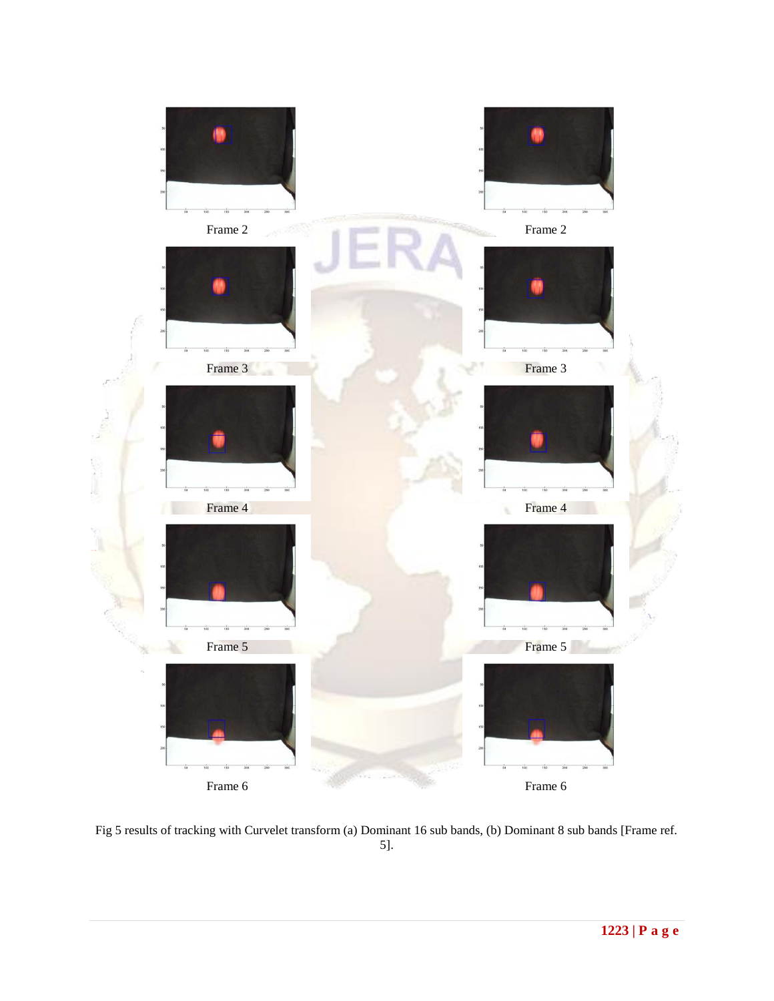

Fig 5 results of tracking with Curvelet transform (a) Dominant 16 sub bands, (b) Dominant 8 sub bands [Frame ref. 5].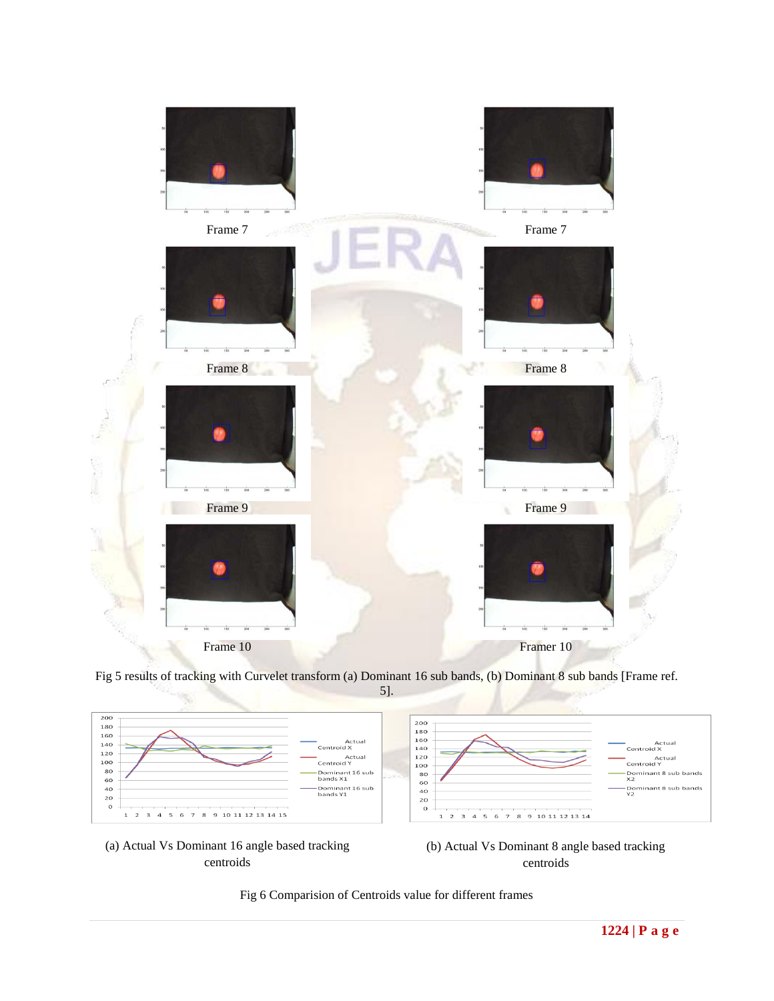

Fig 5 results of tracking with Curvelet transform (a) Dominant 16 sub bands, (b) Dominant 8 sub bands [Frame ref.



(a) Actual Vs Dominant 16 angle based tracking centroids

(b) Actual Vs Dominant 8 angle based tracking centroids

Fig 6 Comparision of Centroids value for different frames